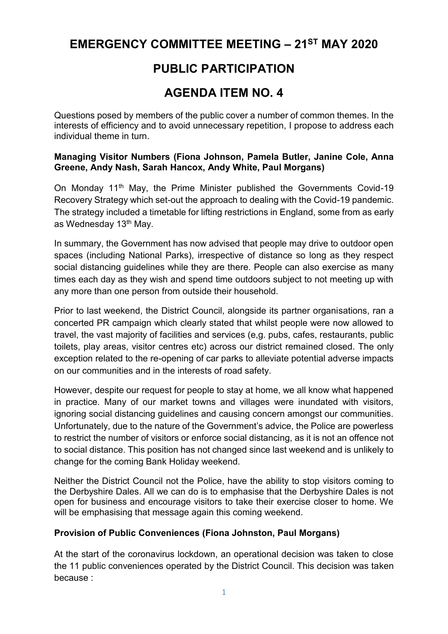# **EMERGENCY COMMITTEE MEETING – 21ST MAY 2020**

# **PUBLIC PARTICIPATION**

# **AGENDA ITEM NO. 4**

Questions posed by members of the public cover a number of common themes. In the interests of efficiency and to avoid unnecessary repetition, I propose to address each individual theme in turn.

#### **Managing Visitor Numbers (Fiona Johnson, Pamela Butler, Janine Cole, Anna Greene, Andy Nash, Sarah Hancox, Andy White, Paul Morgans)**

On Monday 11<sup>th</sup> May, the Prime Minister published the Governments Covid-19 Recovery Strategy which set-out the approach to dealing with the Covid-19 pandemic. The strategy included a timetable for lifting restrictions in England, some from as early as Wednesday 13<sup>th</sup> May.

In summary, the Government has now advised that people may drive to outdoor open spaces (including National Parks), irrespective of distance so long as they respect social distancing guidelines while they are there. People can also exercise as many times each day as they wish and spend time outdoors subject to not meeting up with any more than one person from outside their household.

Prior to last weekend, the District Council, alongside its partner organisations, ran a concerted PR campaign which clearly stated that whilst people were now allowed to travel, the vast majority of facilities and services (e,g. pubs, cafes, restaurants, public toilets, play areas, visitor centres etc) across our district remained closed. The only exception related to the re-opening of car parks to alleviate potential adverse impacts on our communities and in the interests of road safety.

However, despite our request for people to stay at home, we all know what happened in practice. Many of our market towns and villages were inundated with visitors, ignoring social distancing guidelines and causing concern amongst our communities. Unfortunately, due to the nature of the Government's advice, the Police are powerless to restrict the number of visitors or enforce social distancing, as it is not an offence not to social distance. This position has not changed since last weekend and is unlikely to change for the coming Bank Holiday weekend.

Neither the District Council not the Police, have the ability to stop visitors coming to the Derbyshire Dales. All we can do is to emphasise that the Derbyshire Dales is not open for business and encourage visitors to take their exercise closer to home. We will be emphasising that message again this coming weekend.

### **Provision of Public Conveniences (Fiona Johnston, Paul Morgans)**

At the start of the coronavirus lockdown, an operational decision was taken to close the 11 public conveniences operated by the District Council. This decision was taken because :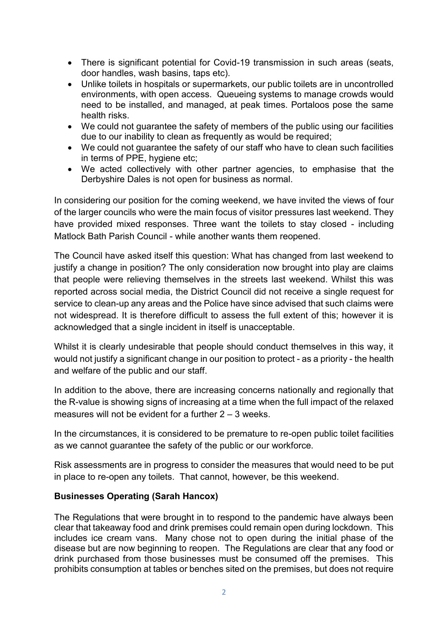- There is significant potential for Covid-19 transmission in such areas (seats, door handles, wash basins, taps etc).
- Unlike toilets in hospitals or supermarkets, our public toilets are in uncontrolled environments, with open access. Queueing systems to manage crowds would need to be installed, and managed, at peak times. Portaloos pose the same health risks.
- We could not guarantee the safety of members of the public using our facilities due to our inability to clean as frequently as would be required;
- We could not guarantee the safety of our staff who have to clean such facilities in terms of PPE, hygiene etc;
- We acted collectively with other partner agencies, to emphasise that the Derbyshire Dales is not open for business as normal.

In considering our position for the coming weekend, we have invited the views of four of the larger councils who were the main focus of visitor pressures last weekend. They have provided mixed responses. Three want the toilets to stay closed - including Matlock Bath Parish Council - while another wants them reopened.

The Council have asked itself this question: What has changed from last weekend to justify a change in position? The only consideration now brought into play are claims that people were relieving themselves in the streets last weekend. Whilst this was reported across social media, the District Council did not receive a single request for service to clean-up any areas and the Police have since advised that such claims were not widespread. It is therefore difficult to assess the full extent of this; however it is acknowledged that a single incident in itself is unacceptable.

Whilst it is clearly undesirable that people should conduct themselves in this way, it would not justify a significant change in our position to protect - as a priority - the health and welfare of the public and our staff.

In addition to the above, there are increasing concerns nationally and regionally that the R-value is showing signs of increasing at a time when the full impact of the relaxed measures will not be evident for a further 2 – 3 weeks.

In the circumstances, it is considered to be premature to re-open public toilet facilities as we cannot guarantee the safety of the public or our workforce.

Risk assessments are in progress to consider the measures that would need to be put in place to re-open any toilets. That cannot, however, be this weekend.

### **Businesses Operating (Sarah Hancox)**

The Regulations that were brought in to respond to the pandemic have always been clear that takeaway food and drink premises could remain open during lockdown. This includes ice cream vans. Many chose not to open during the initial phase of the disease but are now beginning to reopen. The Regulations are clear that any food or drink purchased from those businesses must be consumed off the premises. This prohibits consumption at tables or benches sited on the premises, but does not require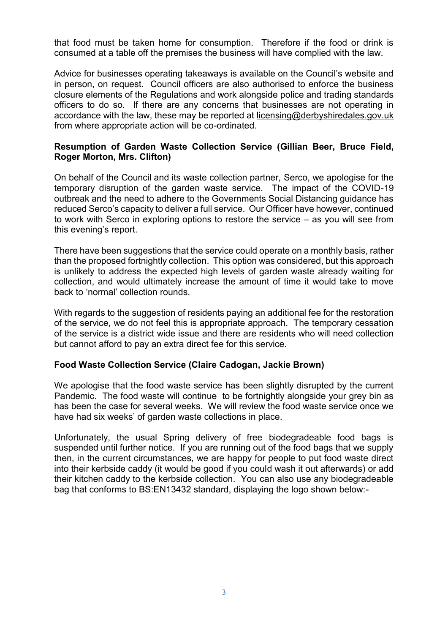that food must be taken home for consumption. Therefore if the food or drink is consumed at a table off the premises the business will have complied with the law.

Advice for businesses operating takeaways is available on the Council's website and in person, on request. Council officers are also authorised to enforce the business closure elements of the Regulations and work alongside police and trading standards officers to do so. If there are any concerns that businesses are not operating in accordance with the law, these may be reported at [licensing@derbyshiredales.gov.uk](mailto:licensing@derbyshiredales.gov.uk) from where appropriate action will be co-ordinated.

#### **Resumption of Garden Waste Collection Service (Gillian Beer, Bruce Field, Roger Morton, Mrs. Clifton)**

On behalf of the Council and its waste collection partner, Serco, we apologise for the temporary disruption of the garden waste service. The impact of the COVID-19 outbreak and the need to adhere to the Governments Social Distancing guidance has reduced Serco's capacity to deliver a full service. Our Officer have however, continued to work with Serco in exploring options to restore the service – as you will see from this evening's report.

There have been suggestions that the service could operate on a monthly basis, rather than the proposed fortnightly collection. This option was considered, but this approach is unlikely to address the expected high levels of garden waste already waiting for collection, and would ultimately increase the amount of time it would take to move back to 'normal' collection rounds.

With regards to the suggestion of residents paying an additional fee for the restoration of the service, we do not feel this is appropriate approach. The temporary cessation of the service is a district wide issue and there are residents who will need collection but cannot afford to pay an extra direct fee for this service.

#### **Food Waste Collection Service (Claire Cadogan, Jackie Brown)**

We apologise that the food waste service has been slightly disrupted by the current Pandemic. The food waste will continue to be fortnightly alongside your grey bin as has been the case for several weeks. We will review the food waste service once we have had six weeks' of garden waste collections in place.

Unfortunately, the usual Spring delivery of free biodegradeable food bags is suspended until further notice. If you are running out of the food bags that we supply then, in the current circumstances, we are happy for people to put food waste direct into their kerbside caddy (it would be good if you could wash it out afterwards) or add their kitchen caddy to the kerbside collection. You can also use any biodegradeable bag that conforms to BS:EN13432 standard, displaying the logo shown below:-